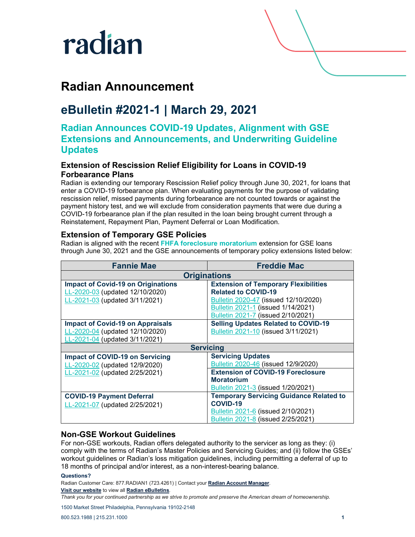

## **Radian Announcement**

## **eBulletin #2021-1 | March 29, 2021**

### **Radian Announces COVID-19 Updates, Alignment with GSE Extensions and Announcements, and Underwriting Guideline Updates**

#### **Extension of Rescission Relief Eligibility for Loans in COVID-19 Forbearance Plans**

Radian is extending our temporary Rescission Relief policy through June 30, 2021, for loans that enter a COVID-19 forbearance plan. When evaluating payments for the purpose of validating rescission relief, missed payments during forbearance are not counted towards or against the payment history test, and we will exclude from consideration payments that were due during a COVID-19 forbearance plan if the plan resulted in the loan being brought current through a Reinstatement, Repayment Plan, Payment Deferral or Loan Modification.

#### **Extension of Temporary GSE Policies**

Radian is aligned with the recent **[FHFA foreclosure moratorium](https://www.fhfa.gov/Media/PublicAffairs/Pages/FHFA-Extends-COVID-19-Forbearance-Period-and-Foreclosure-and-REO-Eviction-Moratoriums.aspx)** extension for GSE loans through June 30, 2021 and the GSE announcements of temporary policy extensions listed below:

| <b>Fannie Mae</b>                         | <b>Freddie Mac</b>                             |
|-------------------------------------------|------------------------------------------------|
| <b>Originations</b>                       |                                                |
| <b>Impact of Covid-19 on Originations</b> | <b>Extension of Temporary Flexibilities</b>    |
| LL-2020-03 (updated 12/10/2020)           | <b>Related to COVID-19</b>                     |
| LL-2021-03 (updated 3/11/2021)            | Bulletin 2020-47 (issued 12/10/2020)           |
|                                           | Bulletin 2021-1 (issued 1/14/2021)             |
|                                           | Bulletin 2021-7 (issued 2/10/2021)             |
| <b>Impact of Covid-19 on Appraisals</b>   | <b>Selling Updates Related to COVID-19</b>     |
| LL-2020-04 (updated 12/10/2020)           | Bulletin 2021-10 (issued 3/11/2021)            |
| LL-2021-04 (updated 3/11/2021)            |                                                |
| <b>Servicing</b>                          |                                                |
| <b>Impact of COVID-19 on Servicing</b>    | <b>Servicing Updates</b>                       |
| LL-2020-02 (updated 12/9/2020)            | Bulletin 2020-46 (issued 12/9/2020)            |
| LL-2021-02 (updated 2/25/2021)            | <b>Extension of COVID-19 Foreclosure</b>       |
|                                           | <b>Moratorium</b>                              |
|                                           | Bulletin 2021-3 (issued 1/20/2021)             |
| <b>COVID-19 Payment Deferral</b>          | <b>Temporary Servicing Guidance Related to</b> |
| LL-2021-07 (updated 2/25/2021)            | COVID-19                                       |
|                                           | <b>Bulletin 2021-6 (issued 2/10/2021)</b>      |
|                                           | Bulletin 2021-8 (issued 2/25/2021)             |

#### **Non-GSE Workout Guidelines**

For non-GSE workouts, Radian offers delegated authority to the servicer as long as they: (i) comply with the terms of Radian's Master Policies and Servicing Guides; and (ii) follow the GSEs' workout guidelines or Radian's loss mitigation guidelines, including permitting a deferral of up to 18 months of principal and/or interest, as a non-interest-bearing balance.

#### **Questions?**

Radian Customer Care: 877.RADIAN1 (723.4261) | Contact your **[Radian Account Manager](https://radian.com/account-manager-finder)**.

**[Visit our website](https://radian.com/)** to view all **[Radian eBulletins](https://radian.com/what-we-do/mortgage-insurance/mi-lender-services/eBulletins)**.

*Thank you for your continued partnership as we strive to promote and preserve the American dream of homeownership.*

1500 Market Street Philadelphia, Pennsylvania 19102-2148